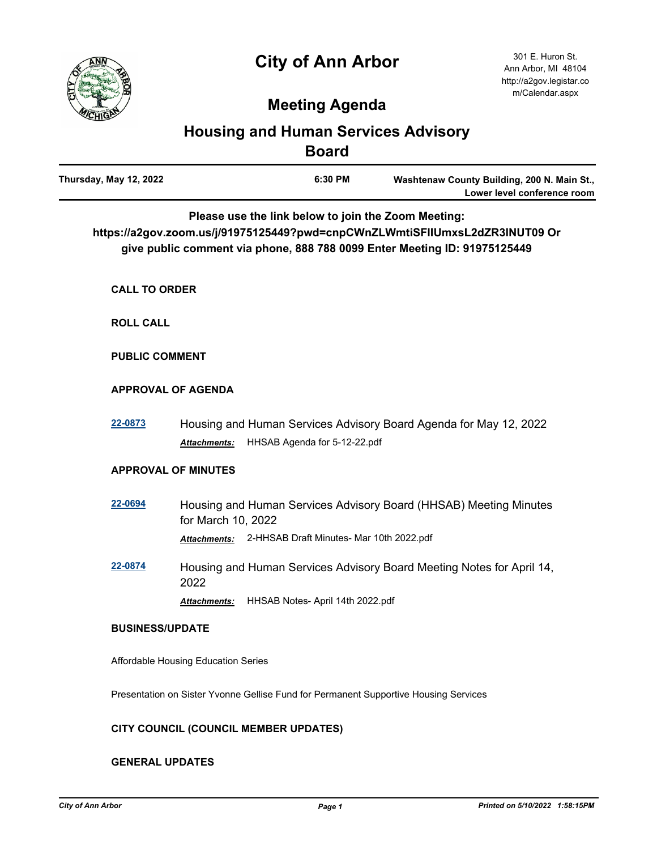# **City of Ann Arbor**



## **Meeting Agenda**

### **Housing and Human Services Advisory Board**

| Thursday, May 12, 2022 | 6:30 PM | Washtenaw County Building, 200 N. Main St., |
|------------------------|---------|---------------------------------------------|
|                        |         | Lower level conference room                 |

**Please use the link below to join the Zoom Meeting:** 

**https://a2gov.zoom.us/j/91975125449?pwd=cnpCWnZLWmtiSFlIUmxsL2dZR3lNUT09 Or give public comment via phone, 888 788 0099 Enter Meeting ID: 91975125449**

**CALL TO ORDER**

**ROLL CALL**

**PUBLIC COMMENT**

#### **APPROVAL OF AGENDA**

**[22-0873](http://a2gov.legistar.com/gateway.aspx?M=L&ID=30049)** Housing and Human Services Advisory Board Agenda for May 12, 2022 *Attachments:* HHSAB Agenda for 5-12-22.pdf

#### **APPROVAL OF MINUTES**

- **[22-0694](http://a2gov.legistar.com/gateway.aspx?M=L&ID=29872)** Housing and Human Services Advisory Board (HHSAB) Meeting Minutes for March 10, 2022 *Attachments:* 2-HHSAB Draft Minutes- Mar 10th 2022.pdf
- **[22-0874](http://a2gov.legistar.com/gateway.aspx?M=L&ID=30050)** Housing and Human Services Advisory Board Meeting Notes for April 14, 2022

*Attachments:* HHSAB Notes- April 14th 2022.pdf

#### **BUSINESS/UPDATE**

Affordable Housing Education Series

Presentation on Sister Yvonne Gellise Fund for Permanent Supportive Housing Services

#### **CITY COUNCIL (COUNCIL MEMBER UPDATES)**

#### **GENERAL UPDATES**